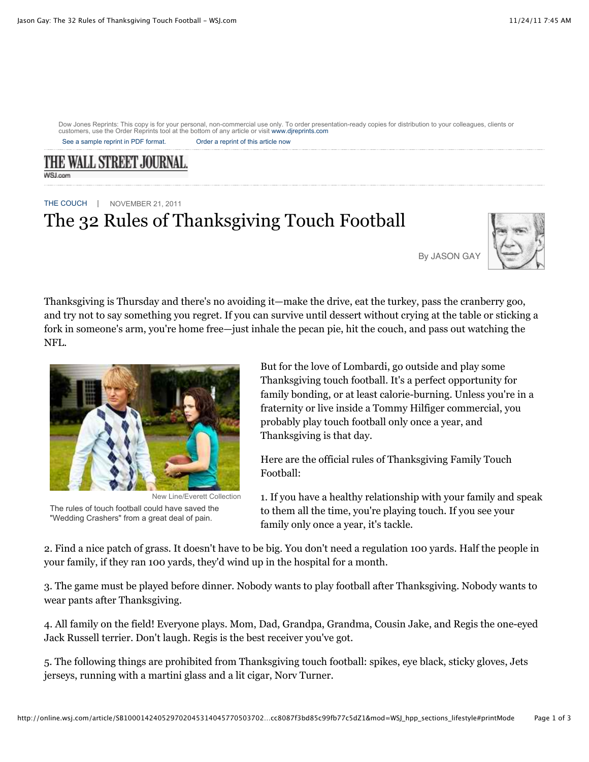Dow Jones Reprints: This copy is for your personal, non-commercial use only. To order presentation-ready copies for distribution to your colleagues, clients or customers, use the Order Reprints tool at the bottom of any article or visit www.djreprints.com

See a sample reprint in PDF format. Order a reprint of this article now

THE WALL STREET JOURNAL **WSJ.com** 

THE COUCH | NOVEMBER 21, 2011 The 32 Rules of Thanksgiving Touch Football



By JASON GAY

Thanksgiving is Thursday and there's no avoiding it—make the drive, eat the turkey, pass the cranberry goo, and try not to say something you regret. If you can survive until dessert without crying at the table or sticking a fork in someone's arm, you're home free—just inhale the pecan pie, hit the couch, and pass out watching the NFL.



New Line/Everett Collection The rules of touch football could have saved the "Wedding Crashers" from a great deal of pain.

But for the love of Lombardi, go outside and play some Thanksgiving touch football. It's a perfect opportunity for family bonding, or at least calorie-burning. Unless you're in a fraternity or live inside a Tommy Hilfiger commercial, you probably play touch football only once a year, and Thanksgiving is that day.

Here are the official rules of Thanksgiving Family Touch Football:

1. If you have a healthy relationship with your family and speak to them all the time, you're playing touch. If you see your family only once a year, it's tackle.

2. Find a nice patch of grass. It doesn't have to be big. You don't need a regulation 100 yards. Half the people in your family, if they ran 100 yards, they'd wind up in the hospital for a month.

3. The game must be played before dinner. Nobody wants to play football after Thanksgiving. Nobody wants to wear pants after Thanksgiving.

4. All family on the field! Everyone plays. Mom, Dad, Grandpa, Grandma, Cousin Jake, and Regis the one-eyed Jack Russell terrier. Don't laugh. Regis is the best receiver you've got.

5. The following things are prohibited from Thanksgiving touch football: spikes, eye black, sticky gloves, Jets jerseys, running with a martini glass and a lit cigar, Norv Turner.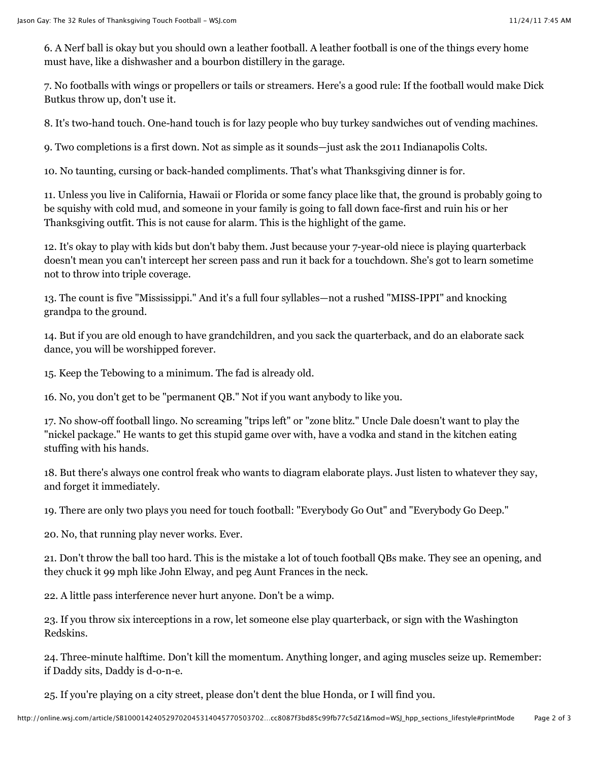6. A Nerf ball is okay but you should own a leather football. A leather football is one of the things every home must have, like a dishwasher and a bourbon distillery in the garage.

7. No footballs with wings or propellers or tails or streamers. Here's a good rule: If the football would make Dick Butkus throw up, don't use it.

8. It's two-hand touch. One-hand touch is for lazy people who buy turkey sandwiches out of vending machines.

9. Two completions is a first down. Not as simple as it sounds—just ask the 2011 Indianapolis Colts.

10. No taunting, cursing or back-handed compliments. That's what Thanksgiving dinner is for.

11. Unless you live in California, Hawaii or Florida or some fancy place like that, the ground is probably going to be squishy with cold mud, and someone in your family is going to fall down face-first and ruin his or her Thanksgiving outfit. This is not cause for alarm. This is the highlight of the game.

12. It's okay to play with kids but don't baby them. Just because your 7-year-old niece is playing quarterback doesn't mean you can't intercept her screen pass and run it back for a touchdown. She's got to learn sometime not to throw into triple coverage.

13. The count is five "Mississippi." And it's a full four syllables—not a rushed "MISS-IPPI" and knocking grandpa to the ground.

14. But if you are old enough to have grandchildren, and you sack the quarterback, and do an elaborate sack dance, you will be worshipped forever.

15. Keep the Tebowing to a minimum. The fad is already old.

16. No, you don't get to be "permanent QB." Not if you want anybody to like you.

17. No show-off football lingo. No screaming "trips left" or "zone blitz." Uncle Dale doesn't want to play the "nickel package." He wants to get this stupid game over with, have a vodka and stand in the kitchen eating stuffing with his hands.

18. But there's always one control freak who wants to diagram elaborate plays. Just listen to whatever they say, and forget it immediately.

19. There are only two plays you need for touch football: "Everybody Go Out" and "Everybody Go Deep."

20. No, that running play never works. Ever.

21. Don't throw the ball too hard. This is the mistake a lot of touch football QBs make. They see an opening, and they chuck it 99 mph like John Elway, and peg Aunt Frances in the neck.

22. A little pass interference never hurt anyone. Don't be a wimp.

23. If you throw six interceptions in a row, let someone else play quarterback, or sign with the Washington Redskins.

24. Three-minute halftime. Don't kill the momentum. Anything longer, and aging muscles seize up. Remember: if Daddy sits, Daddy is d-o-n-e.

25. If you're playing on a city street, please don't dent the blue Honda, or I will find you.